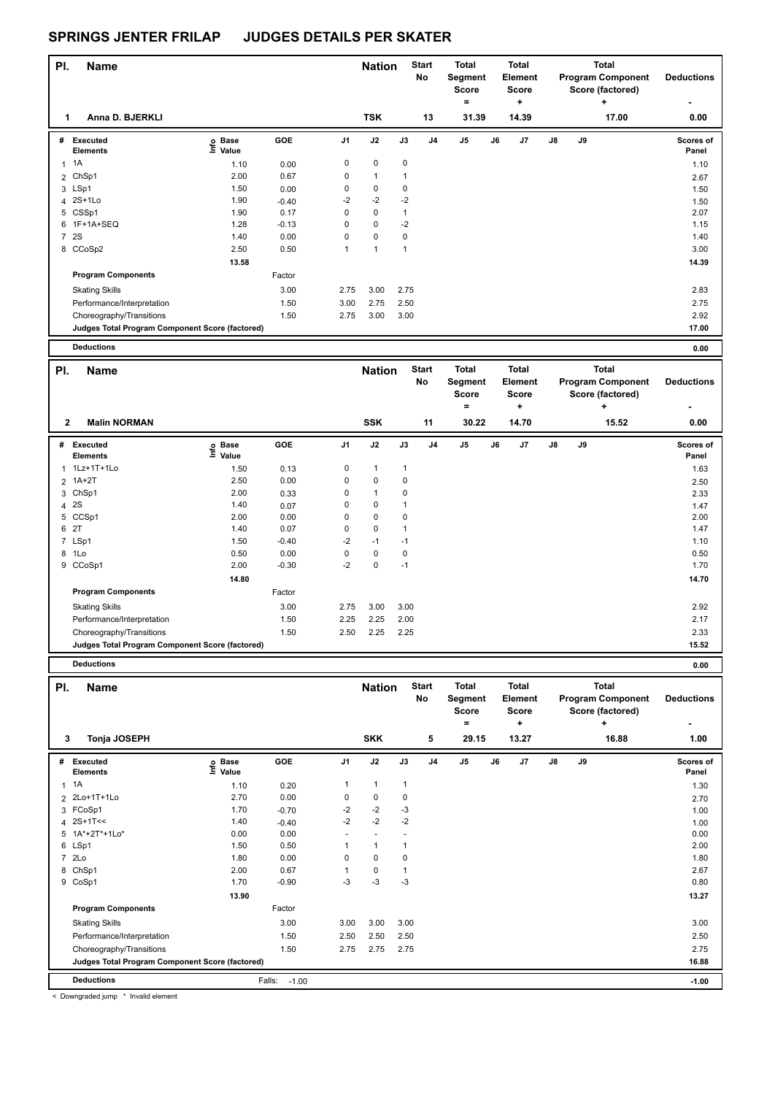| PI.            | <b>Name</b>                                     |                            |         |                | <b>Nation</b> |              | <b>Start</b><br><b>No</b> | <b>Total</b><br>Segment<br><b>Score</b><br>$\equiv$ |    | <b>Total</b><br>Element<br>Score<br>٠ |               |    | <b>Total</b><br><b>Program Component</b><br>Score (factored)<br>÷ | <b>Deductions</b>  |
|----------------|-------------------------------------------------|----------------------------|---------|----------------|---------------|--------------|---------------------------|-----------------------------------------------------|----|---------------------------------------|---------------|----|-------------------------------------------------------------------|--------------------|
| 1              | Anna D. BJERKLI                                 |                            |         |                | <b>TSK</b>    |              | 13                        | 31.39                                               |    | 14.39                                 |               |    | 17.00                                                             | 0.00               |
|                | # Executed<br><b>Elements</b>                   | e Base<br>E Value<br>Value | GOE     | J <sub>1</sub> | J2            | J3           | J <sub>4</sub>            | J <sub>5</sub>                                      | J6 | J7                                    | $\mathsf{J}8$ | J9 |                                                                   | Scores of<br>Panel |
|                | $1 \t1A$                                        | 1.10                       | 0.00    | 0              | $\pmb{0}$     | $\mathbf 0$  |                           |                                                     |    |                                       |               |    |                                                                   | 1.10               |
|                | 2 ChSp1                                         | 2.00                       | 0.67    | 0              | $\mathbf{1}$  | $\mathbf{1}$ |                           |                                                     |    |                                       |               |    |                                                                   | 2.67               |
|                | 3 LSp1                                          | 1.50                       | 0.00    | 0              | 0             | $\mathbf 0$  |                           |                                                     |    |                                       |               |    |                                                                   | 1.50               |
|                | 4 2S+1Lo                                        | 1.90                       | $-0.40$ | $-2$           | $-2$          | $-2$         |                           |                                                     |    |                                       |               |    |                                                                   | 1.50               |
|                | 5 CSSp1                                         | 1.90                       | 0.17    | $\mathbf 0$    | 0             | $\mathbf{1}$ |                           |                                                     |    |                                       |               |    |                                                                   | 2.07               |
|                | 6 1F+1A+SEQ                                     | 1.28                       | $-0.13$ | $\mathbf 0$    | $\mathbf 0$   | $-2$         |                           |                                                     |    |                                       |               |    |                                                                   | 1.15               |
| $\overline{7}$ | <b>2S</b>                                       | 1.40                       | 0.00    | 0              | $\mathbf 0$   | $\mathbf 0$  |                           |                                                     |    |                                       |               |    |                                                                   | 1.40               |
|                | 8 CCoSp2                                        | 2.50                       | 0.50    | $\mathbf{1}$   | $\mathbf{1}$  | $\mathbf{1}$ |                           |                                                     |    |                                       |               |    |                                                                   | 3.00               |
|                |                                                 | 13.58                      |         |                |               |              |                           |                                                     |    |                                       |               |    |                                                                   | 14.39              |
|                | <b>Program Components</b>                       |                            | Factor  |                |               |              |                           |                                                     |    |                                       |               |    |                                                                   |                    |
|                | <b>Skating Skills</b>                           |                            | 3.00    | 2.75           | 3.00          | 2.75         |                           |                                                     |    |                                       |               |    |                                                                   | 2.83               |
|                | Performance/Interpretation                      |                            | 1.50    | 3.00           | 2.75          | 2.50         |                           |                                                     |    |                                       |               |    |                                                                   | 2.75               |
|                | Choreography/Transitions                        |                            | 1.50    | 2.75           | 3.00          | 3.00         |                           |                                                     |    |                                       |               |    |                                                                   | 2.92               |
|                | Judges Total Program Component Score (factored) |                            |         |                |               |              |                           |                                                     |    |                                       |               |    |                                                                   | 17.00              |
|                | <b>Deductions</b>                               |                            |         |                |               |              |                           |                                                     |    |                                       |               |    |                                                                   | 0.00               |
| PI.            | <b>Name</b>                                     |                            |         |                | <b>Nation</b> |              | <b>Start</b><br><b>No</b> | <b>Total</b><br>Segment                             |    | <b>Total</b><br>Element               |               |    | <b>Total</b><br><b>Program Component</b>                          | <b>Deductions</b>  |
|                |                                                 |                            |         |                |               |              |                           | <b>Score</b>                                        |    | Score                                 |               |    | Score (factored)                                                  |                    |
|                |                                                 |                            |         |                |               |              |                           | $\equiv$                                            |    | ÷                                     |               |    | ٠                                                                 |                    |
| $\mathbf{2}$   | <b>Malin NORMAN</b>                             |                            |         |                | <b>SSK</b>    |              | 11                        | 30.22                                               |    | 14.70                                 |               |    | 15.52                                                             | 0.00               |
| #              | Executed<br><b>Elements</b>                     | o Base<br>Ξ<br>Value       | GOE     | J1             | J2            | J3           | J <sub>4</sub>            | J <sub>5</sub>                                      | J6 | J7                                    | $\mathsf{J}8$ | J9 |                                                                   | Scores of<br>Panel |
|                | 1 1Lz+1T+1Lo                                    | 1.50                       | 0.13    | 0              | $\mathbf{1}$  | 1            |                           |                                                     |    |                                       |               |    |                                                                   | 1.63               |

 1A+2T 2.50 0.00 0 0 0 2.50 ChSp1 2.00 0.33 0 1 0 2.33 4 2S 1.40 0.07 0 0 1 CCSp1 2.00 0.00 0 0 0 2.00  $6 \t27$  1.40 0.07 0 0 1 LSp1 1.50 -0.40 -2 -1 -1 1.10 1Lo 0.50 0.00 0 0 0 0.50 CCoSp1 2.00 -0.30 -2 0 -1 1.70

Skating Skills 2.75 3.00 3.00 3.00 2.92

Performance/Interpretation 1.50 2.25 2.25 2.00 2.17 Choreography/Transitions 1.50 2.50 2.25 2.25 2.33

Factor

 **14.80 14.70** 

**Judges Total Program Component Score (factored) 15.52**

**Program Components** 

|                | <b>Deductions</b>                               |                                  |                   |                |                             |              |                         |                                                       |    |                                                       |    |    |                                                                            | 0.00                      |
|----------------|-------------------------------------------------|----------------------------------|-------------------|----------------|-----------------------------|--------------|-------------------------|-------------------------------------------------------|----|-------------------------------------------------------|----|----|----------------------------------------------------------------------------|---------------------------|
| PI.<br>3       | <b>Name</b><br>Tonja JOSEPH                     |                                  |                   |                | <b>Nation</b><br><b>SKK</b> |              | <b>Start</b><br>No<br>5 | <b>Total</b><br>Segment<br><b>Score</b><br>=<br>29.15 |    | <b>Total</b><br>Element<br><b>Score</b><br>٠<br>13.27 |    |    | <b>Total</b><br><b>Program Component</b><br>Score (factored)<br>÷<br>16.88 | <b>Deductions</b><br>1.00 |
|                |                                                 |                                  |                   |                |                             |              |                         |                                                       |    |                                                       |    |    |                                                                            |                           |
| #              | <b>Executed</b><br><b>Elements</b>              | <b>Base</b><br>e Base<br>E Value | GOE               | J <sub>1</sub> | J2                          | J3           | J <sub>4</sub>          | J <sub>5</sub>                                        | J6 | J <sub>7</sub>                                        | J8 | J9 |                                                                            | <b>Scores of</b><br>Panel |
| 1              | 1A                                              | 1.10                             | 0.20              |                | $\mathbf{1}$                | $\mathbf{1}$ |                         |                                                       |    |                                                       |    |    |                                                                            | 1.30                      |
|                | 2 2Lo+1T+1Lo                                    | 2.70                             | 0.00              | 0              | $\pmb{0}$                   | 0            |                         |                                                       |    |                                                       |    |    |                                                                            | 2.70                      |
|                | 3 FCoSp1                                        | 1.70                             | $-0.70$           | $-2$           | $-2$                        | -3           |                         |                                                       |    |                                                       |    |    |                                                                            | 1.00                      |
| 4              | $2S+1T<<$                                       | 1.40                             | $-0.40$           | $-2$           | $-2$                        | $-2$         |                         |                                                       |    |                                                       |    |    |                                                                            | 1.00                      |
| 5              | 1A*+2T*+1Lo*                                    | 0.00                             | 0.00              | ٠              | $\overline{\phantom{a}}$    |              |                         |                                                       |    |                                                       |    |    |                                                                            | 0.00                      |
| 6              | LSp1                                            | 1.50                             | 0.50              |                | $\mathbf{1}$                | 1            |                         |                                                       |    |                                                       |    |    |                                                                            | 2.00                      |
| $\overline{7}$ | 2 <sub>LO</sub>                                 | 1.80                             | 0.00              | 0              | $\mathbf 0$                 | 0            |                         |                                                       |    |                                                       |    |    |                                                                            | 1.80                      |
|                | 8 ChSp1                                         | 2.00                             | 0.67              |                | $\pmb{0}$                   | $\mathbf{1}$ |                         |                                                       |    |                                                       |    |    |                                                                            | 2.67                      |
|                | 9 CoSp1                                         | 1.70                             | $-0.90$           | $-3$           | $-3$                        | $-3$         |                         |                                                       |    |                                                       |    |    |                                                                            | 0.80                      |
|                |                                                 | 13.90                            |                   |                |                             |              |                         |                                                       |    |                                                       |    |    |                                                                            | 13.27                     |
|                | <b>Program Components</b>                       |                                  | Factor            |                |                             |              |                         |                                                       |    |                                                       |    |    |                                                                            |                           |
|                | <b>Skating Skills</b>                           |                                  | 3.00              | 3.00           | 3.00                        | 3.00         |                         |                                                       |    |                                                       |    |    |                                                                            | 3.00                      |
|                | Performance/Interpretation                      |                                  | 1.50              | 2.50           | 2.50                        | 2.50         |                         |                                                       |    |                                                       |    |    |                                                                            | 2.50                      |
|                | Choreography/Transitions                        |                                  | 1.50              | 2.75           | 2.75                        | 2.75         |                         |                                                       |    |                                                       |    |    |                                                                            | 2.75                      |
|                | Judges Total Program Component Score (factored) |                                  |                   |                |                             |              |                         |                                                       |    |                                                       |    |    |                                                                            | 16.88                     |
|                | <b>Deductions</b>                               |                                  | Falls:<br>$-1.00$ |                |                             |              |                         |                                                       |    |                                                       |    |    |                                                                            | $-1.00$                   |

< Downgraded jump \* Invalid element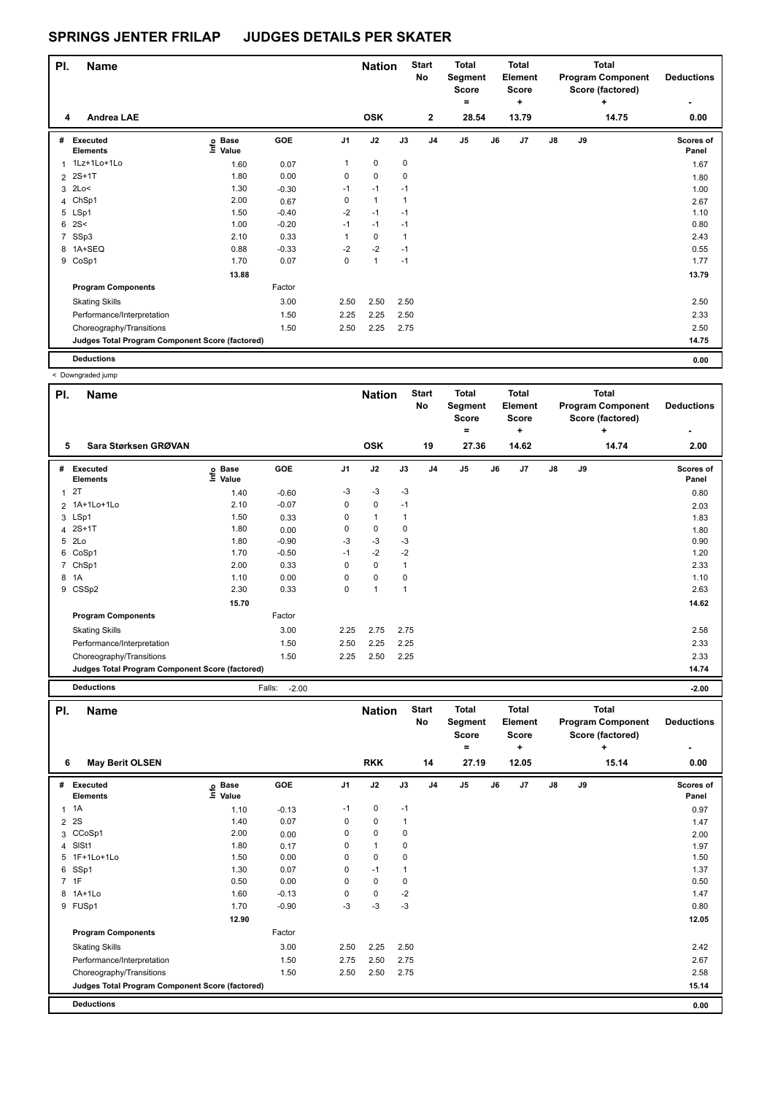| PI.            | <b>Name</b>                                     |                                  |         |                | <b>Nation</b> |              | <b>Start</b><br>No | <b>Total</b><br>Segment<br><b>Score</b><br>= |    | Total<br>Element<br><b>Score</b><br>÷ |    |    | Total<br><b>Program Component</b><br>Score (factored)<br>٠ | <b>Deductions</b><br>٠ |
|----------------|-------------------------------------------------|----------------------------------|---------|----------------|---------------|--------------|--------------------|----------------------------------------------|----|---------------------------------------|----|----|------------------------------------------------------------|------------------------|
| 4              | Andrea LAE                                      |                                  |         |                | <b>OSK</b>    |              | $\mathbf{2}$       | 28.54                                        |    | 13.79                                 |    |    | 14.75                                                      | 0.00                   |
| #              | <b>Executed</b><br><b>Elements</b>              | <b>Base</b><br>e Base<br>E Value | GOE     | J <sub>1</sub> | J2            | J3           | J <sub>4</sub>     | J <sub>5</sub>                               | J6 | J <sub>7</sub>                        | J8 | J9 |                                                            | Scores of<br>Panel     |
|                | 1 1Lz+1Lo+1Lo                                   | 1.60                             | 0.07    | 1              | $\mathbf 0$   | 0            |                    |                                              |    |                                       |    |    |                                                            | 1.67                   |
| $\overline{2}$ | $2S+1T$                                         | 1.80                             | 0.00    | 0              | $\mathbf 0$   | 0            |                    |                                              |    |                                       |    |    |                                                            | 1.80                   |
|                | $3$ 2Lo<                                        | 1.30                             | $-0.30$ | $-1$           | $-1$          | $-1$         |                    |                                              |    |                                       |    |    |                                                            | 1.00                   |
| 4              | ChSp1                                           | 2.00                             | 0.67    | 0              | $\mathbf{1}$  | $\mathbf{1}$ |                    |                                              |    |                                       |    |    |                                                            | 2.67                   |
|                | 5 LSp1                                          | 1.50                             | $-0.40$ | $-2$           | $-1$          | $-1$         |                    |                                              |    |                                       |    |    |                                                            | 1.10                   |
| 6              | 2S<                                             | 1.00                             | $-0.20$ | $-1$           | $-1$          | $-1$         |                    |                                              |    |                                       |    |    |                                                            | 0.80                   |
| $\overline{7}$ | SSp3                                            | 2.10                             | 0.33    | 1              | $\mathbf 0$   | 1            |                    |                                              |    |                                       |    |    |                                                            | 2.43                   |
|                | 8 1A+SEQ                                        | 0.88                             | $-0.33$ | $-2$           | $-2$          | $-1$         |                    |                                              |    |                                       |    |    |                                                            | 0.55                   |
|                | 9 CoSp1                                         | 1.70                             | 0.07    | 0              | $\mathbf{1}$  | $-1$         |                    |                                              |    |                                       |    |    |                                                            | 1.77                   |
|                |                                                 | 13.88                            |         |                |               |              |                    |                                              |    |                                       |    |    |                                                            | 13.79                  |
|                | <b>Program Components</b>                       |                                  | Factor  |                |               |              |                    |                                              |    |                                       |    |    |                                                            |                        |
|                | <b>Skating Skills</b>                           |                                  | 3.00    | 2.50           | 2.50          | 2.50         |                    |                                              |    |                                       |    |    |                                                            | 2.50                   |
|                | Performance/Interpretation                      |                                  | 1.50    | 2.25           | 2.25          | 2.50         |                    |                                              |    |                                       |    |    |                                                            | 2.33                   |
|                | Choreography/Transitions                        |                                  | 1.50    | 2.50           | 2.25          | 2.75         |                    |                                              |    |                                       |    |    |                                                            | 2.50                   |
|                | Judges Total Program Component Score (factored) |                                  |         |                |               |              |                    |                                              |    |                                       |    |    |                                                            | 14.75                  |
|                | <b>Deductions</b>                               |                                  |         |                |               |              |                    |                                              |    |                                       |    |    |                                                            | 0.00                   |

|                | < Downgraded jump                               |                            |                   |                |                |                |                           |                                              |    |                                              |               |    |                                                            |                        |
|----------------|-------------------------------------------------|----------------------------|-------------------|----------------|----------------|----------------|---------------------------|----------------------------------------------|----|----------------------------------------------|---------------|----|------------------------------------------------------------|------------------------|
| PI.            | <b>Name</b>                                     |                            |                   |                | <b>Nation</b>  |                | <b>Start</b><br><b>No</b> | <b>Total</b><br>Segment<br><b>Score</b><br>= |    | <b>Total</b><br>Element<br><b>Score</b><br>٠ |               |    | Total<br><b>Program Component</b><br>Score (factored)<br>÷ | <b>Deductions</b><br>٠ |
| 5              | Sara Størksen GRØVAN                            |                            |                   |                | <b>OSK</b>     |                | 19                        | 27.36                                        |    | 14.62                                        |               |    | 14.74                                                      | 2.00                   |
| #              | Executed<br><b>Elements</b>                     | <b>Base</b><br>١m<br>Value | GOE               | J <sub>1</sub> | J2             | J3             | J <sub>4</sub>            | J <sub>5</sub>                               | J6 | J7                                           | $\mathsf{J}8$ | J9 |                                                            | Scores of<br>Panel     |
| 1              | 2T                                              | 1.40                       | $-0.60$           | -3             | $-3$           | $-3$           |                           |                                              |    |                                              |               |    |                                                            | 0.80                   |
|                | 2 1A+1Lo+1Lo                                    | 2.10                       | $-0.07$           | 0              | 0              | $-1$           |                           |                                              |    |                                              |               |    |                                                            | 2.03                   |
|                | 3 LSp1                                          | 1.50                       | 0.33              | 0              | $\overline{1}$ | $\mathbf 1$    |                           |                                              |    |                                              |               |    |                                                            | 1.83                   |
| 4              | $2S+1T$                                         | 1.80                       | 0.00              | 0              | $\mathbf 0$    | 0              |                           |                                              |    |                                              |               |    |                                                            | 1.80                   |
| 5              | 2Lo                                             | 1.80                       | $-0.90$           | $-3$           | $-3$           | $-3$           |                           |                                              |    |                                              |               |    |                                                            | 0.90                   |
| 6              | CoSp1                                           | 1.70                       | $-0.50$           | $-1$           | $-2$           | $-2$           |                           |                                              |    |                                              |               |    |                                                            | 1.20                   |
| $\overline{7}$ | ChSp1                                           | 2.00                       | 0.33              | 0              | $\mathbf 0$    | $\overline{1}$ |                           |                                              |    |                                              |               |    |                                                            | 2.33                   |
| 8              | 1A                                              | 1.10                       | 0.00              | 0              | $\mathbf 0$    | $\mathbf 0$    |                           |                                              |    |                                              |               |    |                                                            | 1.10                   |
|                | 9 CSSp2                                         | 2.30                       | 0.33              | 0              | $\overline{1}$ | $\overline{1}$ |                           |                                              |    |                                              |               |    |                                                            | 2.63                   |
|                |                                                 | 15.70                      |                   |                |                |                |                           |                                              |    |                                              |               |    |                                                            | 14.62                  |
|                | <b>Program Components</b>                       |                            | Factor            |                |                |                |                           |                                              |    |                                              |               |    |                                                            |                        |
|                | <b>Skating Skills</b>                           |                            | 3.00              | 2.25           | 2.75           | 2.75           |                           |                                              |    |                                              |               |    |                                                            | 2.58                   |
|                | Performance/Interpretation                      |                            | 1.50              | 2.50           | 2.25           | 2.25           |                           |                                              |    |                                              |               |    |                                                            | 2.33                   |
|                | Choreography/Transitions                        |                            | 1.50              | 2.25           | 2.50           | 2.25           |                           |                                              |    |                                              |               |    |                                                            | 2.33                   |
|                | Judges Total Program Component Score (factored) |                            |                   |                |                |                |                           |                                              |    |                                              |               |    |                                                            | 14.74                  |
|                | <b>Deductions</b>                               |                            | Falls:<br>$-2.00$ |                |                |                |                           |                                              |    |                                              |               |    |                                                            | $-2.00$                |

| PI. | <b>Name</b>                                     |                              |         |                | <b>Nation</b>  |      | <b>Start</b><br>No | <b>Total</b><br>Segment<br><b>Score</b><br>= |    | <b>Total</b><br>Element<br><b>Score</b><br>٠ |    |    | <b>Total</b><br><b>Program Component</b><br>Score (factored)<br>٠ | <b>Deductions</b>  |
|-----|-------------------------------------------------|------------------------------|---------|----------------|----------------|------|--------------------|----------------------------------------------|----|----------------------------------------------|----|----|-------------------------------------------------------------------|--------------------|
| 6   | <b>May Berit OLSEN</b>                          |                              |         |                | <b>RKK</b>     |      | 14                 | 27.19                                        |    | 12.05                                        |    |    | 15.14                                                             | 0.00               |
| #   | <b>Executed</b><br><b>Elements</b>              | <b>Base</b><br>١nf٥<br>Value | GOE     | J <sub>1</sub> | J2             | J3   | J <sub>4</sub>     | J <sub>5</sub>                               | J6 | J7                                           | J8 | J9 |                                                                   | Scores of<br>Panel |
| 1   | 1A                                              | 1.10                         | $-0.13$ | $-1$           | 0              | $-1$ |                    |                                              |    |                                              |    |    |                                                                   | 0.97               |
|     | 2 2 S                                           | 1.40                         | 0.07    | 0              | 0              | 1    |                    |                                              |    |                                              |    |    |                                                                   | 1.47               |
|     | 3 CCoSp1                                        | 2.00                         | 0.00    | 0              | $\mathbf 0$    | 0    |                    |                                              |    |                                              |    |    |                                                                   | 2.00               |
|     | 4 SISt1                                         | 1.80                         | 0.17    | 0              | $\overline{1}$ | 0    |                    |                                              |    |                                              |    |    |                                                                   | 1.97               |
|     | 5 1F+1Lo+1Lo                                    | 1.50                         | 0.00    | 0              | $\mathbf 0$    | 0    |                    |                                              |    |                                              |    |    |                                                                   | 1.50               |
|     | 6 SSp1                                          | 1.30                         | 0.07    | 0              | $-1$           |      |                    |                                              |    |                                              |    |    |                                                                   | 1.37               |
|     | 7 1F                                            | 0.50                         | 0.00    | 0              | $\mathbf 0$    | 0    |                    |                                              |    |                                              |    |    |                                                                   | 0.50               |
|     | 8 1A+1Lo                                        | 1.60                         | $-0.13$ | 0              | $\mathbf 0$    | $-2$ |                    |                                              |    |                                              |    |    |                                                                   | 1.47               |
|     | 9 FUSp1                                         | 1.70                         | $-0.90$ | $-3$           | $-3$           | $-3$ |                    |                                              |    |                                              |    |    |                                                                   | 0.80               |
|     |                                                 | 12.90                        |         |                |                |      |                    |                                              |    |                                              |    |    |                                                                   | 12.05              |
|     | <b>Program Components</b>                       |                              | Factor  |                |                |      |                    |                                              |    |                                              |    |    |                                                                   |                    |
|     | <b>Skating Skills</b>                           |                              | 3.00    | 2.50           | 2.25           | 2.50 |                    |                                              |    |                                              |    |    |                                                                   | 2.42               |
|     | Performance/Interpretation                      |                              | 1.50    | 2.75           | 2.50           | 2.75 |                    |                                              |    |                                              |    |    |                                                                   | 2.67               |
|     | Choreography/Transitions                        |                              | 1.50    | 2.50           | 2.50           | 2.75 |                    |                                              |    |                                              |    |    |                                                                   | 2.58               |
|     | Judges Total Program Component Score (factored) |                              |         |                |                |      |                    |                                              |    |                                              |    |    |                                                                   | 15.14              |
|     | <b>Deductions</b>                               |                              |         |                |                |      |                    |                                              |    |                                              |    |    |                                                                   | 0.00               |
|     |                                                 |                              |         |                |                |      |                    |                                              |    |                                              |    |    |                                                                   |                    |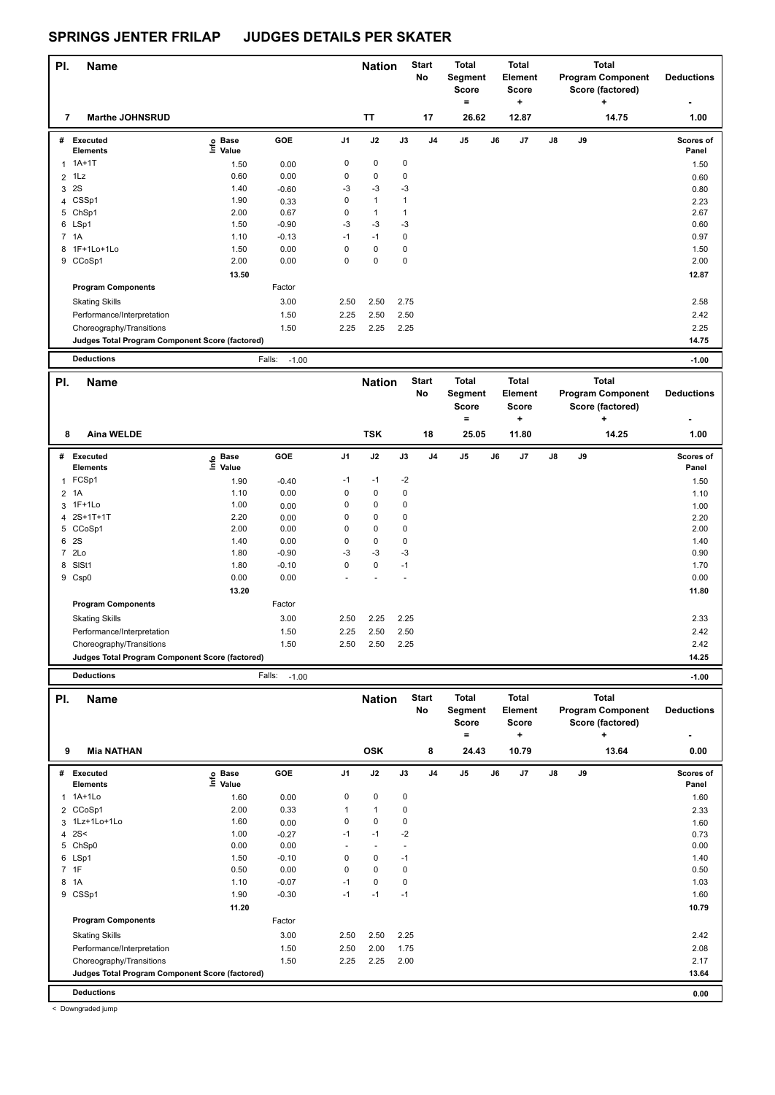| PI. | <b>Name</b>                                     |                              |                   |                | <b>Nation</b> |              | <b>Start</b><br><b>No</b> | <b>Total</b><br>Segment<br><b>Score</b><br>$=$ |    | Total<br><b>Element</b><br>Score<br>÷ |               |    | <b>Total</b><br><b>Program Component</b><br>Score (factored)<br>÷ | <b>Deductions</b>  |
|-----|-------------------------------------------------|------------------------------|-------------------|----------------|---------------|--------------|---------------------------|------------------------------------------------|----|---------------------------------------|---------------|----|-------------------------------------------------------------------|--------------------|
| 7   | <b>Marthe JOHNSRUD</b>                          |                              |                   |                | <b>TT</b>     |              | 17                        | 26.62                                          |    | 12.87                                 |               |    | 14.75                                                             | 1.00               |
| #   | <b>Executed</b><br><b>Elements</b>              | <b>Base</b><br>lnfo<br>Value | GOE               | J <sub>1</sub> | J2            | J3           | J <sub>4</sub>            | J <sub>5</sub>                                 | J6 | J <sub>7</sub>                        | $\mathsf{J}8$ | J9 |                                                                   | Scores of<br>Panel |
| 1   | $1A+1T$                                         | 1.50                         | 0.00              | 0              | $\mathbf 0$   | 0            |                           |                                                |    |                                       |               |    |                                                                   | 1.50               |
|     | $2$ 1 Lz                                        | 0.60                         | 0.00              | 0              | 0             | 0            |                           |                                                |    |                                       |               |    |                                                                   | 0.60               |
| 3   | 2S                                              | 1.40                         | $-0.60$           | $-3$           | $-3$          | $-3$         |                           |                                                |    |                                       |               |    |                                                                   | 0.80               |
|     | 4 CSSp1                                         | 1.90                         | 0.33              | 0              | $\mathbf{1}$  | $\mathbf{1}$ |                           |                                                |    |                                       |               |    |                                                                   | 2.23               |
| 5   | ChSp1                                           | 2.00                         | 0.67              | 0              | 1             | 1            |                           |                                                |    |                                       |               |    |                                                                   | 2.67               |
|     | 6 LSp1                                          | 1.50                         | $-0.90$           | $-3$           | $-3$          | $-3$         |                           |                                                |    |                                       |               |    |                                                                   | 0.60               |
|     | 7 1A                                            | 1.10                         | $-0.13$           | $-1$           | $-1$          | 0            |                           |                                                |    |                                       |               |    |                                                                   | 0.97               |
|     | 8 1F+1Lo+1Lo                                    | 1.50                         | 0.00              | 0              | $\mathbf 0$   | 0            |                           |                                                |    |                                       |               |    |                                                                   | 1.50               |
| 9   | CCoSp1                                          | 2.00                         | 0.00              | 0              | $\mathbf 0$   | 0            |                           |                                                |    |                                       |               |    |                                                                   | 2.00               |
|     |                                                 | 13.50                        |                   |                |               |              |                           |                                                |    |                                       |               |    |                                                                   | 12.87              |
|     | <b>Program Components</b>                       |                              | Factor            |                |               |              |                           |                                                |    |                                       |               |    |                                                                   |                    |
|     | <b>Skating Skills</b>                           |                              | 3.00              | 2.50           | 2.50          | 2.75         |                           |                                                |    |                                       |               |    |                                                                   | 2.58               |
|     | Performance/Interpretation                      |                              | 1.50              | 2.25           | 2.50          | 2.50         |                           |                                                |    |                                       |               |    |                                                                   | 2.42               |
|     | Choreography/Transitions                        |                              | 1.50              | 2.25           | 2.25          | 2.25         |                           |                                                |    |                                       |               |    |                                                                   | 2.25               |
|     | Judges Total Program Component Score (factored) |                              |                   |                |               |              |                           |                                                |    |                                       |               |    |                                                                   | 14.75              |
|     | <b>Deductions</b>                               |                              | Falls:<br>$-1.00$ |                |               |              |                           |                                                |    |                                       |               |    |                                                                   | $-1.00$            |

| PI. | <b>Name</b>                                     |                              |         |                | <b>Nation</b> |      | <b>Start</b><br>No | Total<br>Segment<br><b>Score</b><br>$\equiv$ |    | <b>Total</b><br>Element<br><b>Score</b><br>٠ |               |    | <b>Total</b><br><b>Program Component</b><br>Score (factored)<br>٠ | <b>Deductions</b>         |
|-----|-------------------------------------------------|------------------------------|---------|----------------|---------------|------|--------------------|----------------------------------------------|----|----------------------------------------------|---------------|----|-------------------------------------------------------------------|---------------------------|
| 8   | <b>Aina WELDE</b>                               |                              |         |                | <b>TSK</b>    |      | 18                 | 25.05                                        |    | 11.80                                        |               |    | 14.25                                                             | 1.00                      |
| #   | <b>Executed</b><br><b>Elements</b>              | <b>Base</b><br>lnfo<br>Value | GOE     | J <sub>1</sub> | J2            | J3   | J4                 | J <sub>5</sub>                               | J6 | J7                                           | $\mathsf{J}8$ | J9 |                                                                   | <b>Scores of</b><br>Panel |
| 1   | FCSp1                                           | 1.90                         | $-0.40$ | $-1$           | $-1$          | $-2$ |                    |                                              |    |                                              |               |    |                                                                   | 1.50                      |
|     | 2 1A                                            | 1.10                         | 0.00    | 0              | 0             | 0    |                    |                                              |    |                                              |               |    |                                                                   | 1.10                      |
|     | 3 1F+1Lo                                        | 1.00                         | 0.00    | 0              | 0             | 0    |                    |                                              |    |                                              |               |    |                                                                   | 1.00                      |
|     | 4 2S+1T+1T                                      | 2.20                         | 0.00    | 0              | $\mathbf 0$   | 0    |                    |                                              |    |                                              |               |    |                                                                   | 2.20                      |
|     | 5 CCoSp1                                        | 2.00                         | 0.00    | 0              | $\mathbf 0$   | 0    |                    |                                              |    |                                              |               |    |                                                                   | 2.00                      |
|     | 6 2S                                            | 1.40                         | 0.00    | 0              | $\mathbf 0$   | 0    |                    |                                              |    |                                              |               |    |                                                                   | 1.40                      |
|     | 7 2Lo                                           | 1.80                         | $-0.90$ | $-3$           | $-3$          | $-3$ |                    |                                              |    |                                              |               |    |                                                                   | 0.90                      |
| 8   | SISt1                                           | 1.80                         | $-0.10$ | 0              | $\mathbf 0$   | $-1$ |                    |                                              |    |                                              |               |    |                                                                   | 1.70                      |
|     | 9 Csp0                                          | 0.00                         | 0.00    |                |               |      |                    |                                              |    |                                              |               |    |                                                                   | 0.00                      |
|     |                                                 | 13.20                        |         |                |               |      |                    |                                              |    |                                              |               |    |                                                                   | 11.80                     |
|     | <b>Program Components</b>                       |                              | Factor  |                |               |      |                    |                                              |    |                                              |               |    |                                                                   |                           |
|     | <b>Skating Skills</b>                           |                              | 3.00    | 2.50           | 2.25          | 2.25 |                    |                                              |    |                                              |               |    |                                                                   | 2.33                      |
|     | Performance/Interpretation                      |                              | 1.50    | 2.25           | 2.50          | 2.50 |                    |                                              |    |                                              |               |    |                                                                   | 2.42                      |
|     | Choreography/Transitions                        |                              | 1.50    | 2.50           | 2.50          | 2.25 |                    |                                              |    |                                              |               |    |                                                                   | 2.42                      |
|     | Judges Total Program Component Score (factored) |                              |         |                |               |      |                    |                                              |    |                                              |               |    |                                                                   | 14.25                     |

**Deductions** Falls: -1.00 **-1.00**

| PI. | <b>Name</b>                                     |                            |         |                | <b>Nation</b>            |      | <b>Start</b><br>No | <b>Total</b><br>Segment<br><b>Score</b><br>۰ |    | <b>Total</b><br><b>Element</b><br><b>Score</b><br>٠ |               |    | <b>Total</b><br><b>Program Component</b><br>Score (factored)<br>٠ | <b>Deductions</b>         |
|-----|-------------------------------------------------|----------------------------|---------|----------------|--------------------------|------|--------------------|----------------------------------------------|----|-----------------------------------------------------|---------------|----|-------------------------------------------------------------------|---------------------------|
| 9   | <b>Mia NATHAN</b>                               |                            |         |                | <b>OSK</b>               |      | 8                  | 24.43                                        |    | 10.79                                               |               |    | 13.64                                                             | 0.00                      |
| #   | Executed<br><b>Elements</b>                     | e Base<br>E Value<br>Value | GOE     | J <sub>1</sub> | J2                       | J3   | J <sub>4</sub>     | J <sub>5</sub>                               | J6 | J7                                                  | $\mathsf{J}8$ | J9 |                                                                   | <b>Scores of</b><br>Panel |
|     | 1 1A+1Lo                                        | 1.60                       | 0.00    | 0              | $\pmb{0}$                | 0    |                    |                                              |    |                                                     |               |    |                                                                   | 1.60                      |
|     | 2 CCoSp1                                        | 2.00                       | 0.33    |                | $\mathbf{1}$             | 0    |                    |                                              |    |                                                     |               |    |                                                                   | 2.33                      |
|     | 3 1Lz+1Lo+1Lo                                   | 1.60                       | 0.00    | 0              | $\mathbf 0$              | 0    |                    |                                              |    |                                                     |               |    |                                                                   | 1.60                      |
|     | 4 $2S<$                                         | 1.00                       | $-0.27$ | $-1$           | $-1$                     | $-2$ |                    |                                              |    |                                                     |               |    |                                                                   | 0.73                      |
|     | 5 ChSp0                                         | 0.00                       | 0.00    | ٠              | $\overline{\phantom{a}}$ |      |                    |                                              |    |                                                     |               |    |                                                                   | 0.00                      |
|     | 6 LSp1                                          | 1.50                       | $-0.10$ | 0              | $\mathbf 0$              | $-1$ |                    |                                              |    |                                                     |               |    |                                                                   | 1.40                      |
|     | 7 1F                                            | 0.50                       | 0.00    | 0              | $\mathbf 0$              | 0    |                    |                                              |    |                                                     |               |    |                                                                   | 0.50                      |
|     | 8 1A                                            | 1.10                       | $-0.07$ | $-1$           | 0                        | 0    |                    |                                              |    |                                                     |               |    |                                                                   | 1.03                      |
|     | 9 CSSp1                                         | 1.90                       | $-0.30$ | $-1$           | $-1$                     | $-1$ |                    |                                              |    |                                                     |               |    |                                                                   | 1.60                      |
|     |                                                 | 11.20                      |         |                |                          |      |                    |                                              |    |                                                     |               |    |                                                                   | 10.79                     |
|     | <b>Program Components</b>                       |                            | Factor  |                |                          |      |                    |                                              |    |                                                     |               |    |                                                                   |                           |
|     | <b>Skating Skills</b>                           |                            | 3.00    | 2.50           | 2.50                     | 2.25 |                    |                                              |    |                                                     |               |    |                                                                   | 2.42                      |
|     | Performance/Interpretation                      |                            | 1.50    | 2.50           | 2.00                     | 1.75 |                    |                                              |    |                                                     |               |    |                                                                   | 2.08                      |
|     | Choreography/Transitions                        |                            | 1.50    | 2.25           | 2.25                     | 2.00 |                    |                                              |    |                                                     |               |    |                                                                   | 2.17                      |
|     | Judges Total Program Component Score (factored) |                            |         |                |                          |      |                    |                                              |    |                                                     |               |    |                                                                   | 13.64                     |
|     | <b>Deductions</b>                               |                            |         |                |                          |      |                    |                                              |    |                                                     |               |    |                                                                   | 0.00                      |

< Downgraded jump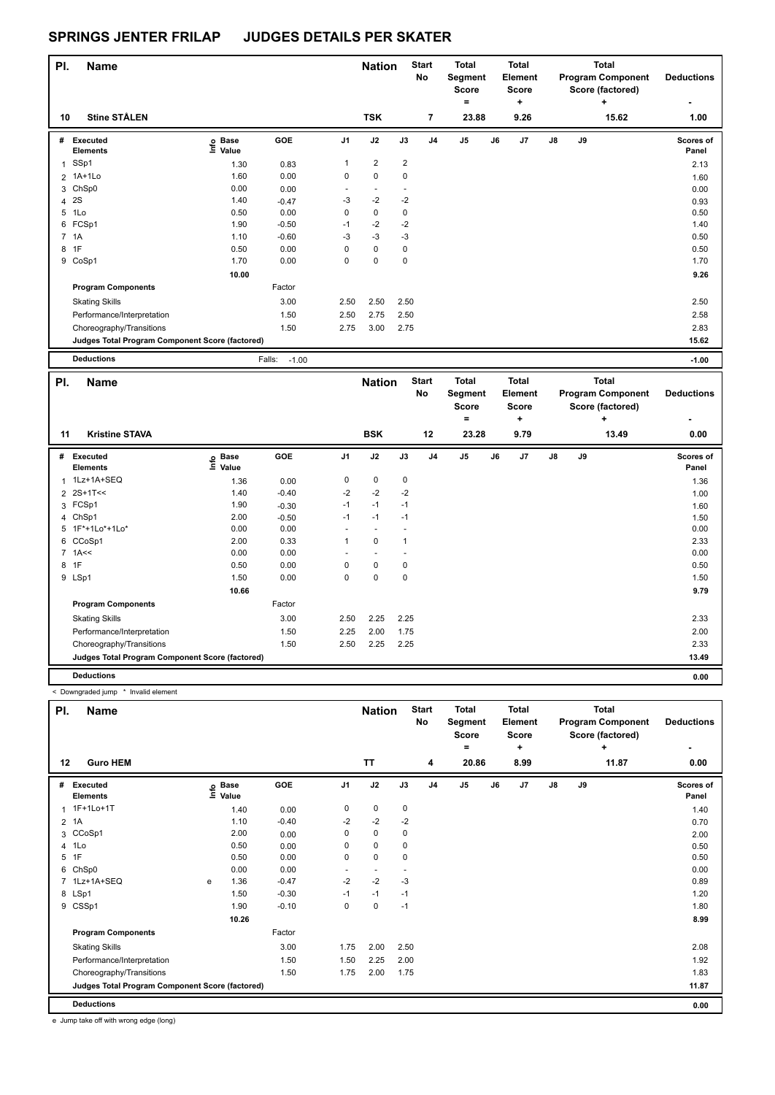| PI.          | <b>Name</b>                                     |                              |                   |                | <b>Nation</b>            |             | <b>Start</b><br>No | <b>Total</b><br>Segment<br><b>Score</b><br>۰ |    | Total<br><b>Element</b><br><b>Score</b><br>٠ |               |    | <b>Total</b><br><b>Program Component</b><br>Score (factored)<br>÷ | <b>Deductions</b>         |
|--------------|-------------------------------------------------|------------------------------|-------------------|----------------|--------------------------|-------------|--------------------|----------------------------------------------|----|----------------------------------------------|---------------|----|-------------------------------------------------------------------|---------------------------|
| 10           | <b>Stine STÅLEN</b>                             |                              |                   |                | <b>TSK</b>               |             | 7                  | 23.88                                        |    | 9.26                                         |               |    | 15.62                                                             | 1.00                      |
| #            | <b>Executed</b><br><b>Elements</b>              | <b>Base</b><br>lnfo<br>Value | GOE               | J <sub>1</sub> | J2                       | J3          | J <sub>4</sub>     | J5                                           | J6 | J <sub>7</sub>                               | $\mathsf{J}8$ | J9 |                                                                   | <b>Scores of</b><br>Panel |
| $\mathbf{1}$ | SSp1                                            | 1.30                         | 0.83              | 1              | $\overline{2}$           | 2           |                    |                                              |    |                                              |               |    |                                                                   | 2.13                      |
|              | 2 1A+1Lo                                        | 1.60                         | 0.00              | 0              | $\mathbf 0$              | 0           |                    |                                              |    |                                              |               |    |                                                                   | 1.60                      |
|              | 3 ChSp0                                         | 0.00                         | 0.00              |                | $\overline{\phantom{a}}$ |             |                    |                                              |    |                                              |               |    |                                                                   | 0.00                      |
| 4            | 2S                                              | 1.40                         | $-0.47$           | $-3$           | $-2$                     | $-2$        |                    |                                              |    |                                              |               |    |                                                                   | 0.93                      |
| 5            | 1Lo                                             | 0.50                         | 0.00              | 0              | $\mathbf 0$              | 0           |                    |                                              |    |                                              |               |    |                                                                   | 0.50                      |
| 6            | FCSp1                                           | 1.90                         | $-0.50$           | $-1$           | $-2$                     | $-2$        |                    |                                              |    |                                              |               |    |                                                                   | 1.40                      |
|              | 7 1A                                            | 1.10                         | $-0.60$           | $-3$           | $-3$                     | $-3$        |                    |                                              |    |                                              |               |    |                                                                   | 0.50                      |
| 8            | 1F                                              | 0.50                         | 0.00              | 0              | $\mathbf 0$              | $\mathbf 0$ |                    |                                              |    |                                              |               |    |                                                                   | 0.50                      |
| 9            | CoSp1                                           | 1.70                         | 0.00              | 0              | $\mathbf 0$              | $\mathbf 0$ |                    |                                              |    |                                              |               |    |                                                                   | 1.70                      |
|              |                                                 | 10.00                        |                   |                |                          |             |                    |                                              |    |                                              |               |    |                                                                   | 9.26                      |
|              | <b>Program Components</b>                       |                              | Factor            |                |                          |             |                    |                                              |    |                                              |               |    |                                                                   |                           |
|              | <b>Skating Skills</b>                           |                              | 3.00              | 2.50           | 2.50                     | 2.50        |                    |                                              |    |                                              |               |    |                                                                   | 2.50                      |
|              | Performance/Interpretation                      |                              | 1.50              | 2.50           | 2.75                     | 2.50        |                    |                                              |    |                                              |               |    |                                                                   | 2.58                      |
|              | Choreography/Transitions                        |                              | 1.50              | 2.75           | 3.00                     | 2.75        |                    |                                              |    |                                              |               |    |                                                                   | 2.83                      |
|              | Judges Total Program Component Score (factored) |                              |                   |                |                          |             |                    |                                              |    |                                              |               |    |                                                                   | 15.62                     |
|              | <b>Deductions</b>                               |                              | Falls:<br>$-1.00$ |                |                          |             |                    |                                              |    |                                              |               |    |                                                                   | $-1.00$                   |

| PI. | <b>Name</b>                                     |                              |         |                | <b>Nation</b>            |              | <b>Start</b><br>No | Total<br>Segment<br><b>Score</b> |    | Total<br>Element<br><b>Score</b> |               |    | Total<br><b>Program Component</b><br>Score (factored) | <b>Deductions</b>  |
|-----|-------------------------------------------------|------------------------------|---------|----------------|--------------------------|--------------|--------------------|----------------------------------|----|----------------------------------|---------------|----|-------------------------------------------------------|--------------------|
| 11  | <b>Kristine STAVA</b>                           |                              |         |                | <b>BSK</b>               |              | 12                 | $\equiv$<br>23.28                |    | ٠<br>9.79                        |               |    | $\ddot{}$<br>13.49                                    | ٠<br>0.00          |
|     |                                                 |                              |         |                |                          |              |                    |                                  |    |                                  |               |    |                                                       |                    |
| #   | <b>Executed</b><br><b>Elements</b>              | <b>Base</b><br>١nfo<br>Value | GOE     | J <sub>1</sub> | J2                       | J3           | J <sub>4</sub>     | J <sub>5</sub>                   | J6 | J <sub>7</sub>                   | $\mathsf{J}8$ | J9 |                                                       | Scores of<br>Panel |
|     | 1 1Lz+1A+SEQ                                    | 1.36                         | 0.00    | 0              | 0                        | 0            |                    |                                  |    |                                  |               |    |                                                       | 1.36               |
|     | 2 2S+1T<<                                       | 1.40                         | $-0.40$ | $-2$           | $-2$                     | $-2$         |                    |                                  |    |                                  |               |    |                                                       | 1.00               |
|     | 3 FCSp1                                         | 1.90                         | $-0.30$ | $-1$           | $-1$                     | $-1$         |                    |                                  |    |                                  |               |    |                                                       | 1.60               |
|     | 4 ChSp1                                         | 2.00                         | $-0.50$ | $-1$           | $-1$                     | $-1$         |                    |                                  |    |                                  |               |    |                                                       | 1.50               |
| 5   | 1F*+1Lo*+1Lo*                                   | 0.00                         | 0.00    |                | $\overline{\phantom{a}}$ |              |                    |                                  |    |                                  |               |    |                                                       | 0.00               |
| 6   | CCoSp1                                          | 2.00                         | 0.33    | 1              | $\mathbf 0$              | $\mathbf{1}$ |                    |                                  |    |                                  |               |    |                                                       | 2.33               |
|     | $7$ 1A $\leq$                                   | 0.00                         | 0.00    |                |                          |              |                    |                                  |    |                                  |               |    |                                                       | 0.00               |
| 8   | 1F                                              | 0.50                         | 0.00    | 0              | 0                        | $\mathbf 0$  |                    |                                  |    |                                  |               |    |                                                       | 0.50               |
|     | 9 LSp1                                          | 1.50                         | 0.00    | 0              | $\mathbf 0$              | $\mathbf 0$  |                    |                                  |    |                                  |               |    |                                                       | 1.50               |
|     |                                                 | 10.66                        |         |                |                          |              |                    |                                  |    |                                  |               |    |                                                       | 9.79               |
|     | <b>Program Components</b>                       |                              | Factor  |                |                          |              |                    |                                  |    |                                  |               |    |                                                       |                    |
|     | <b>Skating Skills</b>                           |                              | 3.00    | 2.50           | 2.25                     | 2.25         |                    |                                  |    |                                  |               |    |                                                       | 2.33               |
|     | Performance/Interpretation                      |                              | 1.50    | 2.25           | 2.00                     | 1.75         |                    |                                  |    |                                  |               |    |                                                       | 2.00               |
|     | Choreography/Transitions                        |                              | 1.50    | 2.50           | 2.25                     | 2.25         |                    |                                  |    |                                  |               |    |                                                       | 2.33               |
|     | Judges Total Program Component Score (factored) |                              |         |                |                          |              |                    |                                  |    |                                  |               |    |                                                       | 13.49              |
|     | <b>Deductions</b>                               |                              |         |                |                          |              |                    |                                  |    |                                  |               |    |                                                       | 0.00               |

< Downgraded jump \* Invalid element

| PI.            | <b>Name</b>                                     |   |                                  |            |                          | <b>Nation</b>            |      | <b>Start</b><br><b>No</b> | <b>Total</b><br>Segment<br><b>Score</b><br>۰ |    | <b>Total</b><br>Element<br><b>Score</b><br>٠ |               |    | <b>Total</b><br><b>Program Component</b><br>Score (factored)<br>÷ | <b>Deductions</b>  |
|----------------|-------------------------------------------------|---|----------------------------------|------------|--------------------------|--------------------------|------|---------------------------|----------------------------------------------|----|----------------------------------------------|---------------|----|-------------------------------------------------------------------|--------------------|
| 12             | <b>Guro HEM</b>                                 |   |                                  |            |                          | <b>TT</b>                |      | 4                         | 20.86                                        |    | 8.99                                         |               |    | 11.87                                                             | 0.00               |
| #              | Executed<br><b>Elements</b>                     |   | <b>Base</b><br>e Base<br>E Value | <b>GOE</b> | J <sub>1</sub>           | J2                       | J3   | J <sub>4</sub>            | J <sub>5</sub>                               | J6 | J7                                           | $\mathsf{J}8$ | J9 |                                                                   | Scores of<br>Panel |
| $\mathbf{1}$   | 1F+1Lo+1T                                       |   | 1.40                             | 0.00       | 0                        | 0                        | 0    |                           |                                              |    |                                              |               |    |                                                                   | 1.40               |
| $\overline{2}$ | 1A                                              |   | 1.10                             | $-0.40$    | $-2$                     | $-2$                     | $-2$ |                           |                                              |    |                                              |               |    |                                                                   | 0.70               |
| 3              | CCoSp1                                          |   | 2.00                             | 0.00       | 0                        | $\mathbf 0$              | 0    |                           |                                              |    |                                              |               |    |                                                                   | 2.00               |
| $\overline{4}$ | 1Lo                                             |   | 0.50                             | 0.00       | 0                        | $\mathbf 0$              | 0    |                           |                                              |    |                                              |               |    |                                                                   | 0.50               |
| 5              | 1F                                              |   | 0.50                             | 0.00       | 0                        | 0                        | 0    |                           |                                              |    |                                              |               |    |                                                                   | 0.50               |
| 6              | ChSp0                                           |   | 0.00                             | 0.00       | $\overline{\phantom{0}}$ | $\overline{\phantom{a}}$ | -    |                           |                                              |    |                                              |               |    |                                                                   | 0.00               |
|                | 7 1Lz+1A+SEQ                                    | e | 1.36                             | $-0.47$    | $-2$                     | $-2$                     | $-3$ |                           |                                              |    |                                              |               |    |                                                                   | 0.89               |
|                | 8 LSp1                                          |   | 1.50                             | $-0.30$    | $-1$                     | $-1$                     | $-1$ |                           |                                              |    |                                              |               |    |                                                                   | 1.20               |
|                | 9 CSSp1                                         |   | 1.90                             | $-0.10$    | 0                        | $\mathbf 0$              | $-1$ |                           |                                              |    |                                              |               |    |                                                                   | 1.80               |
|                |                                                 |   | 10.26                            |            |                          |                          |      |                           |                                              |    |                                              |               |    |                                                                   | 8.99               |
|                | <b>Program Components</b>                       |   |                                  | Factor     |                          |                          |      |                           |                                              |    |                                              |               |    |                                                                   |                    |
|                | <b>Skating Skills</b>                           |   |                                  | 3.00       | 1.75                     | 2.00                     | 2.50 |                           |                                              |    |                                              |               |    |                                                                   | 2.08               |
|                | Performance/Interpretation                      |   |                                  | 1.50       | 1.50                     | 2.25                     | 2.00 |                           |                                              |    |                                              |               |    |                                                                   | 1.92               |
|                | Choreography/Transitions                        |   |                                  | 1.50       | 1.75                     | 2.00                     | 1.75 |                           |                                              |    |                                              |               |    |                                                                   | 1.83               |
|                | Judges Total Program Component Score (factored) |   |                                  |            |                          |                          |      |                           |                                              |    |                                              |               |    |                                                                   | 11.87              |
|                | <b>Deductions</b>                               |   |                                  |            |                          |                          |      |                           |                                              |    |                                              |               |    |                                                                   | 0.00               |

e Jump take off with wrong edge (long)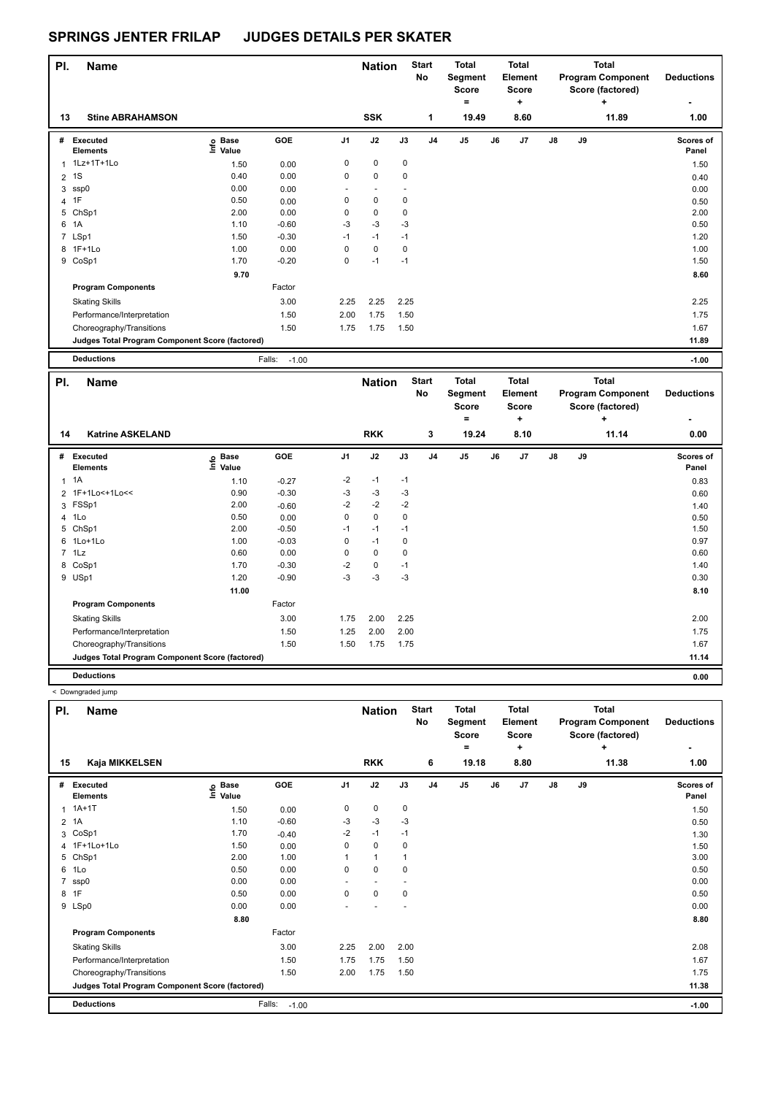| PI.            | <b>Name</b>                                     |                              |                   |                | <b>Nation</b>            |      | <b>Start</b><br>No | <b>Total</b><br>Segment<br><b>Score</b><br>۰ |    | <b>Total</b><br>Element<br><b>Score</b><br>٠ |               |    | <b>Total</b><br><b>Program Component</b><br>Score (factored)<br>٠ | <b>Deductions</b>         |
|----------------|-------------------------------------------------|------------------------------|-------------------|----------------|--------------------------|------|--------------------|----------------------------------------------|----|----------------------------------------------|---------------|----|-------------------------------------------------------------------|---------------------------|
| 13             | <b>Stine ABRAHAMSON</b>                         |                              |                   |                | <b>SSK</b>               |      | 1                  | 19.49                                        |    | 8.60                                         |               |    | 11.89                                                             | 1.00                      |
| #              | <b>Executed</b><br><b>Elements</b>              | <b>Base</b><br>lnfo<br>Value | GOE               | J <sub>1</sub> | J2                       | J3   | J <sub>4</sub>     | J <sub>5</sub>                               | J6 | J <sub>7</sub>                               | $\mathsf{J}8$ | J9 |                                                                   | <b>Scores of</b><br>Panel |
|                | 1 1Lz+1T+1Lo                                    | 1.50                         | 0.00              | 0              | 0                        | 0    |                    |                                              |    |                                              |               |    |                                                                   | 1.50                      |
|                | 2 <sup>1</sup> S                                | 0.40                         | 0.00              | 0              | $\pmb{0}$                | 0    |                    |                                              |    |                                              |               |    |                                                                   | 0.40                      |
|                | 3 ssp0                                          | 0.00                         | 0.00              |                | $\overline{\phantom{a}}$ |      |                    |                                              |    |                                              |               |    |                                                                   | 0.00                      |
| $\overline{4}$ | 1F                                              | 0.50                         | 0.00              | 0              | $\mathbf 0$              | 0    |                    |                                              |    |                                              |               |    |                                                                   | 0.50                      |
| 5              | ChSp1                                           | 2.00                         | 0.00              | 0              | 0                        | 0    |                    |                                              |    |                                              |               |    |                                                                   | 2.00                      |
| 6              | 1A                                              | 1.10                         | $-0.60$           | $-3$           | $-3$                     | $-3$ |                    |                                              |    |                                              |               |    |                                                                   | 0.50                      |
|                | 7 LSp1                                          | 1.50                         | $-0.30$           | $-1$           | $-1$                     | $-1$ |                    |                                              |    |                                              |               |    |                                                                   | 1.20                      |
|                | 8 1F+1Lo                                        | 1.00                         | 0.00              | 0              | $\mathbf 0$              | 0    |                    |                                              |    |                                              |               |    |                                                                   | 1.00                      |
| 9              | CoSp1                                           | 1.70                         | $-0.20$           | 0              | $-1$                     | $-1$ |                    |                                              |    |                                              |               |    |                                                                   | 1.50                      |
|                |                                                 | 9.70                         |                   |                |                          |      |                    |                                              |    |                                              |               |    |                                                                   | 8.60                      |
|                | <b>Program Components</b>                       |                              | Factor            |                |                          |      |                    |                                              |    |                                              |               |    |                                                                   |                           |
|                | <b>Skating Skills</b>                           |                              | 3.00              | 2.25           | 2.25                     | 2.25 |                    |                                              |    |                                              |               |    |                                                                   | 2.25                      |
|                | Performance/Interpretation                      |                              | 1.50              | 2.00           | 1.75                     | 1.50 |                    |                                              |    |                                              |               |    |                                                                   | 1.75                      |
|                | Choreography/Transitions                        |                              | 1.50              | 1.75           | 1.75                     | 1.50 |                    |                                              |    |                                              |               |    |                                                                   | 1.67                      |
|                | Judges Total Program Component Score (factored) |                              |                   |                |                          |      |                    |                                              |    |                                              |               |    |                                                                   | 11.89                     |
|                | <b>Deductions</b>                               |                              | Falls:<br>$-1.00$ |                |                          |      |                    |                                              |    |                                              |               |    |                                                                   | $-1.00$                   |

| PI.<br><b>Name</b> |                                                 |                                  |            |                | <b>Nation</b> |             | <b>Start</b><br>No | <b>Total</b><br>Segment<br><b>Score</b> |    | <b>Total</b><br>Element<br>Score | Total<br><b>Program Component</b><br>Score (factored)<br>٠ |    |       | <b>Deductions</b>  |
|--------------------|-------------------------------------------------|----------------------------------|------------|----------------|---------------|-------------|--------------------|-----------------------------------------|----|----------------------------------|------------------------------------------------------------|----|-------|--------------------|
| 14                 | <b>Katrine ASKELAND</b>                         |                                  |            |                | <b>RKK</b>    |             | 3                  | ۰<br>19.24                              |    | ٠<br>8.10                        |                                                            |    | 11.14 | 0.00               |
| #                  | Executed<br><b>Elements</b>                     | <b>Base</b><br>e Base<br>⊆ Value | <b>GOE</b> | J <sub>1</sub> | J2            | J3          | J <sub>4</sub>     | J5                                      | J6 | J <sub>7</sub>                   | $\mathsf{J}8$                                              | J9 |       | Scores of<br>Panel |
| $\mathbf{1}$       | 1A                                              | 1.10                             | $-0.27$    | $-2$           | $-1$          | $-1$        |                    |                                         |    |                                  |                                                            |    |       | 0.83               |
|                    | 2 1F+1Lo<+1Lo<<                                 | 0.90                             | $-0.30$    | $-3$           | $-3$          | -3          |                    |                                         |    |                                  |                                                            |    |       | 0.60               |
|                    | 3 FSSp1                                         | 2.00                             | $-0.60$    | $-2$           | $-2$          | $-2$        |                    |                                         |    |                                  |                                                            |    |       | 1.40               |
|                    | 4 1Lo                                           | 0.50                             | 0.00       | 0              | $\mathbf 0$   | 0           |                    |                                         |    |                                  |                                                            |    |       | 0.50               |
| 5                  | ChSp1                                           | 2.00                             | $-0.50$    | $-1$           | $-1$          | $-1$        |                    |                                         |    |                                  |                                                            |    |       | 1.50               |
|                    | 6 1Lo+1Lo                                       | 1.00                             | $-0.03$    | 0              | $-1$          | $\mathbf 0$ |                    |                                         |    |                                  |                                                            |    |       | 0.97               |
|                    | $7$ 1 Lz                                        | 0.60                             | 0.00       | 0              | $\mathbf 0$   | 0           |                    |                                         |    |                                  |                                                            |    |       | 0.60               |
|                    | 8 CoSp1                                         | 1.70                             | $-0.30$    | $-2$           | $\mathbf 0$   | $-1$        |                    |                                         |    |                                  |                                                            |    |       | 1.40               |
|                    | 9 USp1                                          | 1.20                             | $-0.90$    | $-3$           | $-3$          | $-3$        |                    |                                         |    |                                  |                                                            |    |       | 0.30               |
|                    |                                                 | 11.00                            |            |                |               |             |                    |                                         |    |                                  |                                                            |    |       | 8.10               |
|                    | <b>Program Components</b>                       |                                  | Factor     |                |               |             |                    |                                         |    |                                  |                                                            |    |       |                    |
|                    | <b>Skating Skills</b>                           |                                  | 3.00       | 1.75           | 2.00          | 2.25        |                    |                                         |    |                                  |                                                            |    |       | 2.00               |
|                    | Performance/Interpretation                      |                                  | 1.50       | 1.25           | 2.00          | 2.00        |                    |                                         |    |                                  |                                                            |    |       | 1.75               |
|                    | Choreography/Transitions                        |                                  | 1.50       | 1.50           | 1.75          | 1.75        |                    |                                         |    |                                  |                                                            |    |       | 1.67               |
|                    | Judges Total Program Component Score (factored) |                                  |            |                |               |             |                    |                                         |    |                                  |                                                            |    |       | 11.14              |
|                    | <b>Deductions</b>                               |                                  |            |                |               |             |                    |                                         |    |                                  |                                                            |    |       | 0.00               |

< Downgraded jump

| PI.            | <b>Name</b>                                     |                   |                   |                | <b>Nation</b> |              | <b>Start</b><br>No | <b>Total</b><br>Segment<br><b>Score</b><br>Ξ. |    | <b>Total</b><br>Element<br><b>Score</b><br>÷ |               |    | <b>Total</b><br><b>Program Component</b><br>Score (factored)<br>÷ | <b>Deductions</b>  |
|----------------|-------------------------------------------------|-------------------|-------------------|----------------|---------------|--------------|--------------------|-----------------------------------------------|----|----------------------------------------------|---------------|----|-------------------------------------------------------------------|--------------------|
| 15             | Kaja MIKKELSEN                                  |                   |                   |                | <b>RKK</b>    |              | 6                  | 19.18                                         |    | 8.80                                         |               |    | 11.38                                                             | 1.00               |
| #              | <b>Executed</b><br><b>Elements</b>              | e Base<br>E Value | GOE               | J <sub>1</sub> | J2            | J3           | J <sub>4</sub>     | J <sub>5</sub>                                | J6 | J7                                           | $\mathsf{J}8$ | J9 |                                                                   | Scores of<br>Panel |
| 1              | $1A+1T$                                         | 1.50              | 0.00              | 0              | $\pmb{0}$     | 0            |                    |                                               |    |                                              |               |    |                                                                   | 1.50               |
|                | 2 1A                                            | 1.10              | $-0.60$           | -3             | $-3$          | -3           |                    |                                               |    |                                              |               |    |                                                                   | 0.50               |
| 3              | CoSp1                                           | 1.70              | $-0.40$           | $-2$           | $-1$          | $-1$         |                    |                                               |    |                                              |               |    |                                                                   | 1.30               |
|                | 4 1F+1Lo+1Lo                                    | 1.50              | 0.00              | 0              | $\mathbf 0$   | 0            |                    |                                               |    |                                              |               |    |                                                                   | 1.50               |
| 5              | ChSp1                                           | 2.00              | 1.00              |                | $\mathbf{1}$  | $\mathbf{1}$ |                    |                                               |    |                                              |               |    |                                                                   | 3.00               |
| 6              | 1Lo                                             | 0.50              | 0.00              | 0              | $\mathbf 0$   | $\mathbf 0$  |                    |                                               |    |                                              |               |    |                                                                   | 0.50               |
| $\overline{7}$ | ssp0                                            | 0.00              | 0.00              | ٠              | ٠             |              |                    |                                               |    |                                              |               |    |                                                                   | 0.00               |
| 8              | 1F                                              | 0.50              | 0.00              | 0              | $\pmb{0}$     | 0            |                    |                                               |    |                                              |               |    |                                                                   | 0.50               |
|                | 9 LSp0                                          | 0.00              | 0.00              |                |               |              |                    |                                               |    |                                              |               |    |                                                                   | 0.00               |
|                |                                                 | 8.80              |                   |                |               |              |                    |                                               |    |                                              |               |    |                                                                   | 8.80               |
|                | <b>Program Components</b>                       |                   | Factor            |                |               |              |                    |                                               |    |                                              |               |    |                                                                   |                    |
|                | <b>Skating Skills</b>                           |                   | 3.00              | 2.25           | 2.00          | 2.00         |                    |                                               |    |                                              |               |    |                                                                   | 2.08               |
|                | Performance/Interpretation                      |                   | 1.50              | 1.75           | 1.75          | 1.50         |                    |                                               |    |                                              |               |    |                                                                   | 1.67               |
|                | Choreography/Transitions                        |                   | 1.50              | 2.00           | 1.75          | 1.50         |                    |                                               |    |                                              |               |    |                                                                   | 1.75               |
|                | Judges Total Program Component Score (factored) |                   |                   |                |               |              |                    |                                               |    |                                              |               |    |                                                                   | 11.38              |
|                | <b>Deductions</b>                               |                   | Falls:<br>$-1.00$ |                |               |              |                    |                                               |    |                                              |               |    |                                                                   | $-1.00$            |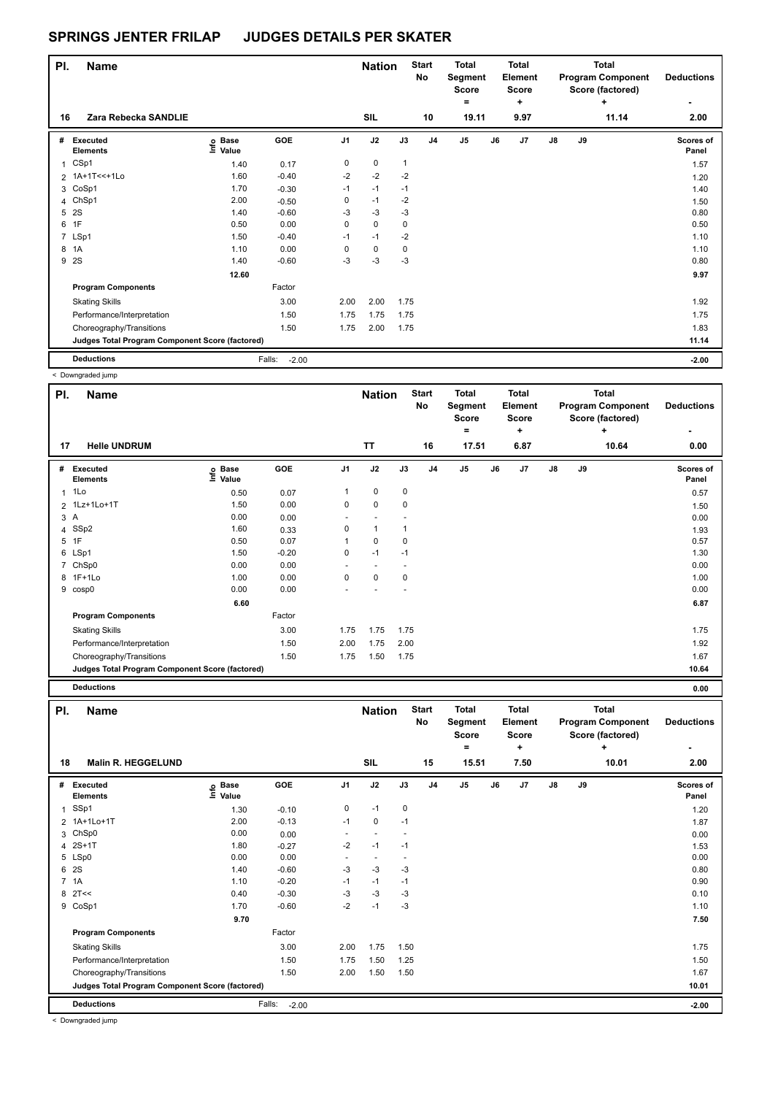| PI.          | <b>Name</b>                                     |                   |                   |                | <b>Nation</b> |              | <b>Start</b><br>No | <b>Total</b><br>Segment<br><b>Score</b> |    | <b>Total</b><br>Element<br><b>Score</b> |    |    | <b>Total</b><br><b>Program Component</b><br>Score (factored) | <b>Deductions</b>  |
|--------------|-------------------------------------------------|-------------------|-------------------|----------------|---------------|--------------|--------------------|-----------------------------------------|----|-----------------------------------------|----|----|--------------------------------------------------------------|--------------------|
| 16           | Zara Rebecka SANDLIE                            |                   |                   |                | <b>SIL</b>    |              | 10                 | ٠<br>19.11                              |    | ٠<br>9.97                               |    |    | ٠<br>11.14                                                   | ۰<br>2.00          |
| #            | Executed<br><b>Elements</b>                     | e Base<br>E Value | GOE               | J <sub>1</sub> | J2            | J3           | J <sub>4</sub>     | J <sub>5</sub>                          | J6 | J <sub>7</sub>                          | J8 | J9 |                                                              | Scores of<br>Panel |
| $\mathbf{1}$ | CSp1                                            | 1.40              | 0.17              | 0              | 0             | $\mathbf{1}$ |                    |                                         |    |                                         |    |    |                                                              | 1.57               |
|              | 2 1A+1T<<+1Lo                                   | 1.60              | $-0.40$           | $-2$           | $-2$          | $-2$         |                    |                                         |    |                                         |    |    |                                                              | 1.20               |
|              | 3 CoSp1                                         | 1.70              | $-0.30$           | $-1$           | $-1$          | $-1$         |                    |                                         |    |                                         |    |    |                                                              | 1.40               |
|              | 4 ChSp1                                         | 2.00              | $-0.50$           | 0              | $-1$          | $-2$         |                    |                                         |    |                                         |    |    |                                                              | 1.50               |
|              | 5 2S                                            | 1.40              | $-0.60$           | -3             | $-3$          | -3           |                    |                                         |    |                                         |    |    |                                                              | 0.80               |
|              | 6 1F                                            | 0.50              | 0.00              | 0              | 0             | 0            |                    |                                         |    |                                         |    |    |                                                              | 0.50               |
|              | 7 LSp1                                          | 1.50              | $-0.40$           | $-1$           | $-1$          | $-2$         |                    |                                         |    |                                         |    |    |                                                              | 1.10               |
|              | 8 1A                                            | 1.10              | 0.00              | 0              | $\mathbf 0$   | 0            |                    |                                         |    |                                         |    |    |                                                              | 1.10               |
|              | 9 2S                                            | 1.40              | $-0.60$           | $-3$           | $-3$          | $-3$         |                    |                                         |    |                                         |    |    |                                                              | 0.80               |
|              |                                                 | 12.60             |                   |                |               |              |                    |                                         |    |                                         |    |    |                                                              | 9.97               |
|              | <b>Program Components</b>                       |                   | Factor            |                |               |              |                    |                                         |    |                                         |    |    |                                                              |                    |
|              | <b>Skating Skills</b>                           |                   | 3.00              | 2.00           | 2.00          | 1.75         |                    |                                         |    |                                         |    |    |                                                              | 1.92               |
|              | Performance/Interpretation                      |                   | 1.50              | 1.75           | 1.75          | 1.75         |                    |                                         |    |                                         |    |    |                                                              | 1.75               |
|              | Choreography/Transitions                        |                   | 1.50              | 1.75           | 2.00          | 1.75         |                    |                                         |    |                                         |    |    |                                                              | 1.83               |
|              | Judges Total Program Component Score (factored) |                   |                   |                |               |              |                    |                                         |    |                                         |    |    |                                                              | 11.14              |
|              | <b>Deductions</b>                               |                   | Falls:<br>$-2.00$ |                |               |              |                    |                                         |    |                                         |    |    |                                                              | $-2.00$            |

< Downgraded jump

|     | - Downgraded Jump                               |                   |            |                |                          |      |                    |                                         |    |                                         |               |    |                                                              |                    |
|-----|-------------------------------------------------|-------------------|------------|----------------|--------------------------|------|--------------------|-----------------------------------------|----|-----------------------------------------|---------------|----|--------------------------------------------------------------|--------------------|
| PI. | <b>Name</b>                                     |                   |            |                | <b>Nation</b>            |      | <b>Start</b><br>No | <b>Total</b><br>Segment<br><b>Score</b> |    | <b>Total</b><br>Element<br><b>Score</b> |               |    | <b>Total</b><br><b>Program Component</b><br>Score (factored) | <b>Deductions</b>  |
|     |                                                 |                   |            |                |                          |      |                    | ۰                                       |    | ٠                                       |               |    | ÷                                                            |                    |
| 17  | <b>Helle UNDRUM</b>                             |                   |            |                | <b>TT</b>                |      | 16                 | 17.51                                   |    | 6.87                                    |               |    | 10.64                                                        | 0.00               |
| #   | Executed<br><b>Elements</b>                     | e Base<br>E Value | <b>GOE</b> | J <sub>1</sub> | J2                       | J3   | J <sub>4</sub>     | J <sub>5</sub>                          | J6 | J7                                      | $\mathsf{J}8$ | J9 |                                                              | Scores of<br>Panel |
| 1   | 1Lo                                             | 0.50              | 0.07       | 1              | 0                        | 0    |                    |                                         |    |                                         |               |    |                                                              | 0.57               |
|     | 2 1Lz+1Lo+1T                                    | 1.50              | 0.00       | 0              | $\pmb{0}$                | 0    |                    |                                         |    |                                         |               |    |                                                              | 1.50               |
|     | 3A                                              | 0.00              | 0.00       | ٠              |                          |      |                    |                                         |    |                                         |               |    |                                                              | 0.00               |
|     | 4 SSp2                                          | 1.60              | 0.33       | 0              | $\mathbf{1}$             |      |                    |                                         |    |                                         |               |    |                                                              | 1.93               |
|     | 5 1F                                            | 0.50              | 0.07       |                | $\mathbf 0$              | 0    |                    |                                         |    |                                         |               |    |                                                              | 0.57               |
|     | 6 LSp1                                          | 1.50              | $-0.20$    | 0              | $-1$                     | $-1$ |                    |                                         |    |                                         |               |    |                                                              | 1.30               |
| 7   | ChSp0                                           | 0.00              | 0.00       | ٠              | $\overline{\phantom{a}}$ |      |                    |                                         |    |                                         |               |    |                                                              | 0.00               |
|     | 8 1F+1Lo                                        | 1.00              | 0.00       | 0              | $\pmb{0}$                | 0    |                    |                                         |    |                                         |               |    |                                                              | 1.00               |
|     | 9 cosp0                                         | 0.00              | 0.00       |                |                          |      |                    |                                         |    |                                         |               |    |                                                              | 0.00               |
|     |                                                 | 6.60              |            |                |                          |      |                    |                                         |    |                                         |               |    |                                                              | 6.87               |
|     | <b>Program Components</b>                       |                   | Factor     |                |                          |      |                    |                                         |    |                                         |               |    |                                                              |                    |
|     | <b>Skating Skills</b>                           |                   | 3.00       | 1.75           | 1.75                     | 1.75 |                    |                                         |    |                                         |               |    |                                                              | 1.75               |
|     | Performance/Interpretation                      |                   | 1.50       | 2.00           | 1.75                     | 2.00 |                    |                                         |    |                                         |               |    |                                                              | 1.92               |
|     | Choreography/Transitions                        |                   | 1.50       | 1.75           | 1.50                     | 1.75 |                    |                                         |    |                                         |               |    |                                                              | 1.67               |
|     | Judges Total Program Component Score (factored) |                   |            |                |                          |      |                    |                                         |    |                                         |               |    |                                                              | 10.64              |
|     | <b>Deductions</b>                               |                   |            |                |                          |      |                    |                                         |    |                                         |               |    |                                                              | 0.00               |

| PI. | <b>Name</b>                                     |                            |                   |                          | <b>Nation</b>            |           | <b>Start</b><br><b>No</b> | <b>Total</b><br>Segment<br>Score<br>$=$ | <b>Total</b><br>Element<br><b>Score</b><br>٠ |               |    | <b>Total</b><br><b>Program Component</b><br>Score (factored)<br>٠ | <b>Deductions</b><br>٠    |
|-----|-------------------------------------------------|----------------------------|-------------------|--------------------------|--------------------------|-----------|---------------------------|-----------------------------------------|----------------------------------------------|---------------|----|-------------------------------------------------------------------|---------------------------|
| 18  | <b>Malin R. HEGGELUND</b>                       |                            |                   |                          | <b>SIL</b>               |           | 15                        | 15.51                                   | 7.50                                         |               |    | 10.01                                                             | 2.00                      |
| #   | Executed<br><b>Elements</b>                     | e Base<br>E Value<br>Value | GOE               | J <sub>1</sub>           | J2                       | J3        | J <sub>4</sub>            | J5                                      | J7<br>J6                                     | $\mathsf{J}8$ | J9 |                                                                   | <b>Scores of</b><br>Panel |
| 1   | SSp1                                            | 1.30                       | $-0.10$           | 0                        | $-1$                     | $\pmb{0}$ |                           |                                         |                                              |               |    |                                                                   | 1.20                      |
|     | 2 1A+1Lo+1T                                     | 2.00                       | $-0.13$           | $-1$                     | 0                        | $-1$      |                           |                                         |                                              |               |    |                                                                   | 1.87                      |
| 3   | ChSp0                                           | 0.00                       | 0.00              | $\overline{\phantom{a}}$ | $\overline{\phantom{a}}$ |           |                           |                                         |                                              |               |    |                                                                   | 0.00                      |
| 4   | $2S+1T$                                         | 1.80                       | $-0.27$           | $-2$                     | $-1$                     | $-1$      |                           |                                         |                                              |               |    |                                                                   | 1.53                      |
|     | 5 LSp0                                          | 0.00                       | 0.00              |                          | $\overline{\phantom{a}}$ |           |                           |                                         |                                              |               |    |                                                                   | 0.00                      |
| 6   | 2S                                              | 1.40                       | $-0.60$           | $-3$                     | $-3$                     | $-3$      |                           |                                         |                                              |               |    |                                                                   | 0.80                      |
|     | 7 1A                                            | 1.10                       | $-0.20$           | $-1$                     | $-1$                     | $-1$      |                           |                                         |                                              |               |    |                                                                   | 0.90                      |
| 8   | 2T<<                                            | 0.40                       | $-0.30$           | $-3$                     | $-3$                     | $-3$      |                           |                                         |                                              |               |    |                                                                   | 0.10                      |
| 9   | CoSp1                                           | 1.70                       | $-0.60$           | $-2$                     | $-1$                     | $-3$      |                           |                                         |                                              |               |    |                                                                   | 1.10                      |
|     |                                                 | 9.70                       |                   |                          |                          |           |                           |                                         |                                              |               |    |                                                                   | 7.50                      |
|     | <b>Program Components</b>                       |                            | Factor            |                          |                          |           |                           |                                         |                                              |               |    |                                                                   |                           |
|     | <b>Skating Skills</b>                           |                            | 3.00              | 2.00                     | 1.75                     | 1.50      |                           |                                         |                                              |               |    |                                                                   | 1.75                      |
|     | Performance/Interpretation                      |                            | 1.50              | 1.75                     | 1.50                     | 1.25      |                           |                                         |                                              |               |    |                                                                   | 1.50                      |
|     | Choreography/Transitions                        |                            | 1.50              | 2.00                     | 1.50                     | 1.50      |                           |                                         |                                              |               |    |                                                                   | 1.67                      |
|     | Judges Total Program Component Score (factored) |                            |                   |                          |                          |           |                           |                                         |                                              |               |    |                                                                   | 10.01                     |
|     | <b>Deductions</b>                               |                            | Falls:<br>$-2.00$ |                          |                          |           |                           |                                         |                                              |               |    |                                                                   | $-2.00$                   |

< Downgraded jump